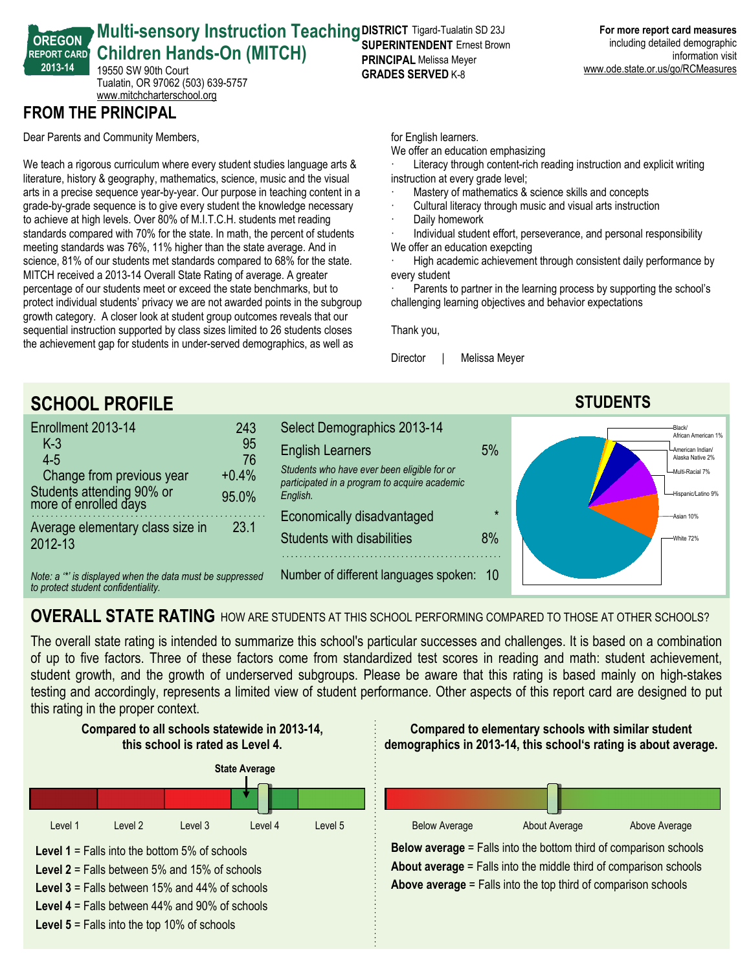#### **OREGON REPORT CARD 201314 Multi-sensory Instruction Teaching DISTRICT Tigard-Tualatin SD 23J Children Hands-On (MITCH)** 19550 SW 90th Court **PRINCIPAL** Melissa Meyer

Tualatin, OR 97062 (503) 639-5757 <www.mitchcharterschool.org>

## **FROM THE PRINCIPAL**

Dear Parents and Community Members,

We teach a rigorous curriculum where every student studies language arts & literature, history & geography, mathematics, science, music and the visual arts in a precise sequence year-by-year. Our purpose in teaching content in a grade-by-grade sequence is to give every student the knowledge necessary to achieve at high levels. Over 80% of M.I.T.C.H. students met reading standards compared with 70% for the state. In math, the percent of students meeting standards was 76%, 11% higher than the state average. And in science, 81% of our students met standards compared to 68% for the state. MITCH received a 2013-14 Overall State Rating of average. A greater percentage of our students meet or exceed the state benchmarks, but to protect individual students' privacy we are not awarded points in the subgroup growth category. A closer look at student group outcomes reveals that our sequential instruction supported by class sizes limited to 26 students closes the achievement gap for students in under-served demographics, as well as

**SUPERINTENDENT** Ernest Brown **GRADES SERVED K-8** 

for English learners.

We offer an education emphasizing

Literacy through content-rich reading instruction and explicit writing instruction at every grade level;

- Mastery of mathematics & science skills and concepts
- Cultural literacy through music and visual arts instruction
- Daily homework
- Individual student effort, perseverance, and personal responsibility We offer an education exepcting

High academic achievement through consistent daily performance by every student

Parents to partner in the learning process by supporting the school's challenging learning objectives and behavior expectations

Thank you,

Director | Melissa Meyer

# **SCHOOL PROFILE STUDENTS**

| Enrollment 2013-14                                 | 243     |
|----------------------------------------------------|---------|
| $K-3$                                              | 95      |
| $4 - 5$                                            | 76      |
| Change from previous year                          | $+0.4%$ |
| Students attending 90% or<br>more of enrolled days | 95.0%   |
| Average elementary class size in<br>2012-13        | 23.1    |

*Note: a '\*' is displayed when the data must be suppressed to protect student confidentiality.*







# **OVERALL STATE RATING** HOW ARE STUDENTS AT THIS SCHOOL PERFORMING COMPARED TO THOSE AT OTHER SCHOOLS?

The overall state rating is intended to summarize this school's particular successes and challenges. It is based on a combination of up to five factors. Three of these factors come from standardized test scores in reading and math: student achievement, student growth, and the growth of underserved subgroups. Please be aware that this rating is based mainly on high-stakes testing and accordingly, represents a limited view of student performance. Other aspects of this report card are designed to put this rating in the proper context.

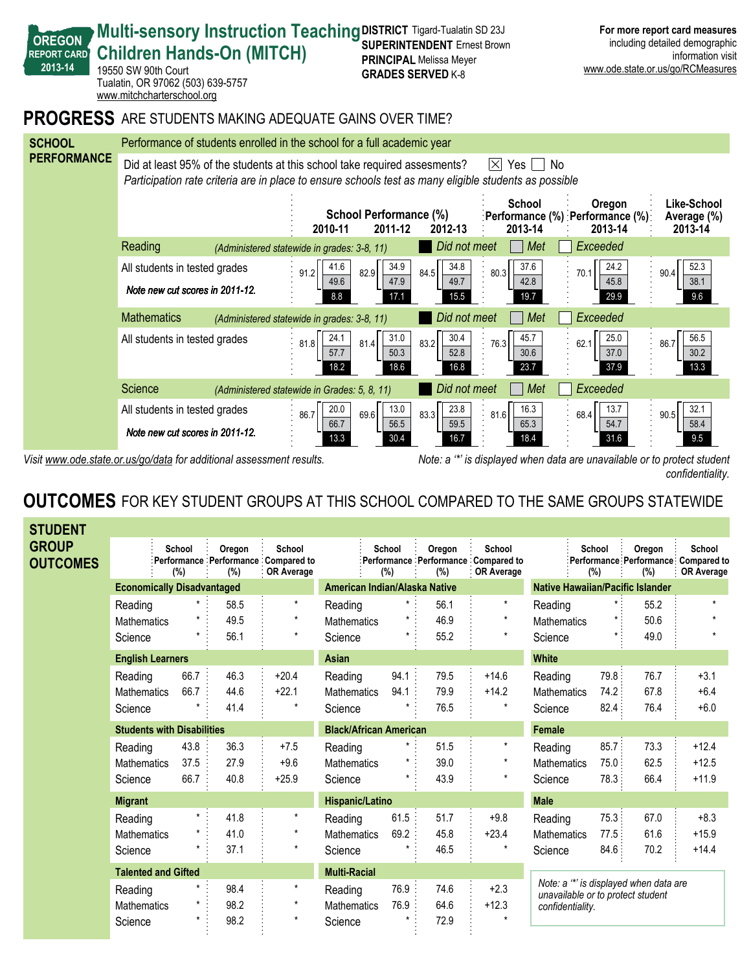

*Visit www.ode.state.or.us/go/data for additional assessment results. Note: a '\*' is displayed when data are unavailable or to protect student confidentiality.*

### **OUTCOMES** FOR KEY STUDENT GROUPS AT THIS SCHOOL COMPARED TO THE SAME GROUPS STATEWIDE

| <b>STUDENT</b>                  |                    |                                   |                     |                                                               |                               |               |               |                                                             |                                                                             |               |                                                       |                             |
|---------------------------------|--------------------|-----------------------------------|---------------------|---------------------------------------------------------------|-------------------------------|---------------|---------------|-------------------------------------------------------------|-----------------------------------------------------------------------------|---------------|-------------------------------------------------------|-----------------------------|
| <b>GROUP</b><br><b>OUTCOMES</b> |                    | School<br>(%)                     | Oregon<br>(%)       | School<br>Performance Performance Compared to<br>: OR Average |                               | School<br>(%) | Oregon<br>(%) | School<br>Performance Performance Compared to<br>OR Average |                                                                             | School<br>(%) | Oregon<br>:Performance Performance Compared to<br>(%) | School<br><b>OR Average</b> |
|                                 |                    | <b>Economically Disadvantaged</b> |                     |                                                               | American Indian/Alaska Native |               |               |                                                             | <b>Native Hawaiian/Pacific Islander</b>                                     |               |                                                       |                             |
|                                 | Reading            | $\star$ :                         | 58.5                | $\star$                                                       | Reading                       | $\star$ :     | 56.1          | $\star$                                                     | Reading                                                                     |               | 55.2                                                  | $\star$                     |
|                                 | <b>Mathematics</b> | $^\star$                          | 49.5                | $\star$                                                       | <b>Mathematics</b>            | *             | 46.9          | $\star$                                                     | <b>Mathematics</b>                                                          |               | 50.6                                                  |                             |
|                                 | Science            | $\star$                           | 56.1                | $\star$                                                       | Science                       | $^{\star}$    | 55.2          | $\star$                                                     | Science                                                                     | $\star$       | 49.0                                                  | $\star$                     |
| <b>English Learners</b>         |                    |                                   |                     | <b>Asian</b>                                                  |                               |               |               | <b>White</b>                                                |                                                                             |               |                                                       |                             |
|                                 | Reading            | 66.7                              | 46.3                | $+20.4$                                                       | Reading                       | 94.1:         | 79.5          | $+14.6$                                                     | Reading                                                                     | 79.8:         | 76.7                                                  | $+3.1$                      |
|                                 | <b>Mathematics</b> | 66.7                              | 44.6                | $+22.1$                                                       | <b>Mathematics</b>            | 94.1          | 79.9          | $+14.2$                                                     | <b>Mathematics</b>                                                          | 74.2:         | 67.8                                                  | $+6.4$                      |
|                                 | Science            |                                   | 41.4                | $\star$                                                       | Science                       |               | 76.5          | $\star$                                                     | Science                                                                     | 82.4:         | 76.4                                                  | $+6.0$                      |
|                                 |                    | <b>Students with Disabilities</b> |                     |                                                               | <b>Black/African American</b> |               |               |                                                             | <b>Female</b>                                                               |               |                                                       |                             |
|                                 | Reading            | 43.8                              | 36.3                | $+7.5$                                                        | Reading                       | $^{\star}$    | 51.5          | $\star$                                                     | Reading                                                                     | 85.7:         | 73.3                                                  | $+12.4$                     |
|                                 | Mathematics        | 37.5                              | 27.9                | $+9.6$                                                        | Mathematics                   |               | 39.0          |                                                             | Mathematics                                                                 | 75.0:         | 62.5                                                  | $+12.5$                     |
|                                 | Science            | 66.7                              | 40.8                | $+25.9$                                                       | Science                       | *             | 43.9          | $\star$                                                     | Science                                                                     | 78.3:         | 66.4                                                  | $+11.9$                     |
|                                 | <b>Migrant</b>     |                                   |                     |                                                               | Hispanic/Latino               |               |               |                                                             | <b>Male</b>                                                                 |               |                                                       |                             |
|                                 | Reading            | $\star$                           | 41.8                | $\pmb{\star}$                                                 | Reading                       | 61.5          | 51.7          | $+9.8$                                                      | Reading                                                                     | 75.3          | 67.0                                                  | $+8.3$                      |
|                                 | <b>Mathematics</b> |                                   | 41.0                | $\star$                                                       | <b>Mathematics</b>            | 69.2          | 45.8          | $+23.4$                                                     | <b>Mathematics</b>                                                          | 77.5:         | 61.6                                                  | $+15.9$                     |
|                                 | Science            |                                   | 37.1                | $\star$                                                       | Science                       |               | 46.5          |                                                             | Science                                                                     | 84.6          | 70.2                                                  | $+14.4$                     |
| <b>Talented and Gifted</b>      |                    |                                   | <b>Multi-Racial</b> |                                                               |                               |               |               |                                                             |                                                                             |               |                                                       |                             |
|                                 | Reading            |                                   | 98.4                | $\star$                                                       | Reading                       | 76.9 :        | 74.6          | $+2.3$                                                      | Note: a "*' is displayed when data are<br>unavailable or to protect student |               |                                                       |                             |
|                                 | <b>Mathematics</b> |                                   | 98.2                | $\star$                                                       | <b>Mathematics</b>            | 76.9          | 64.6          | $+12.3$                                                     | confidentiality.                                                            |               |                                                       |                             |
|                                 | Science            |                                   | 98.2                | $\star$                                                       | Science                       |               | 72.9          |                                                             |                                                                             |               |                                                       |                             |